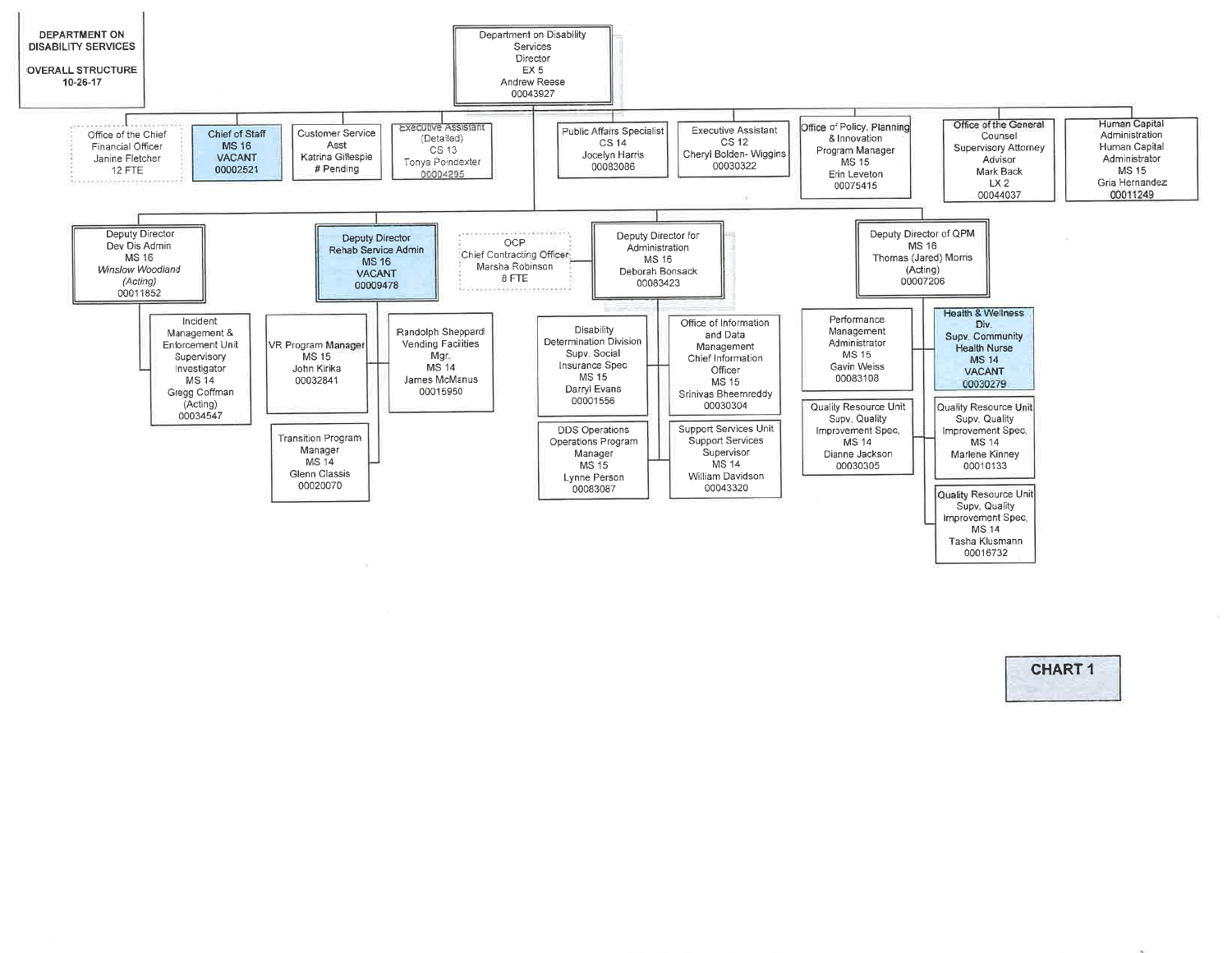

CHART I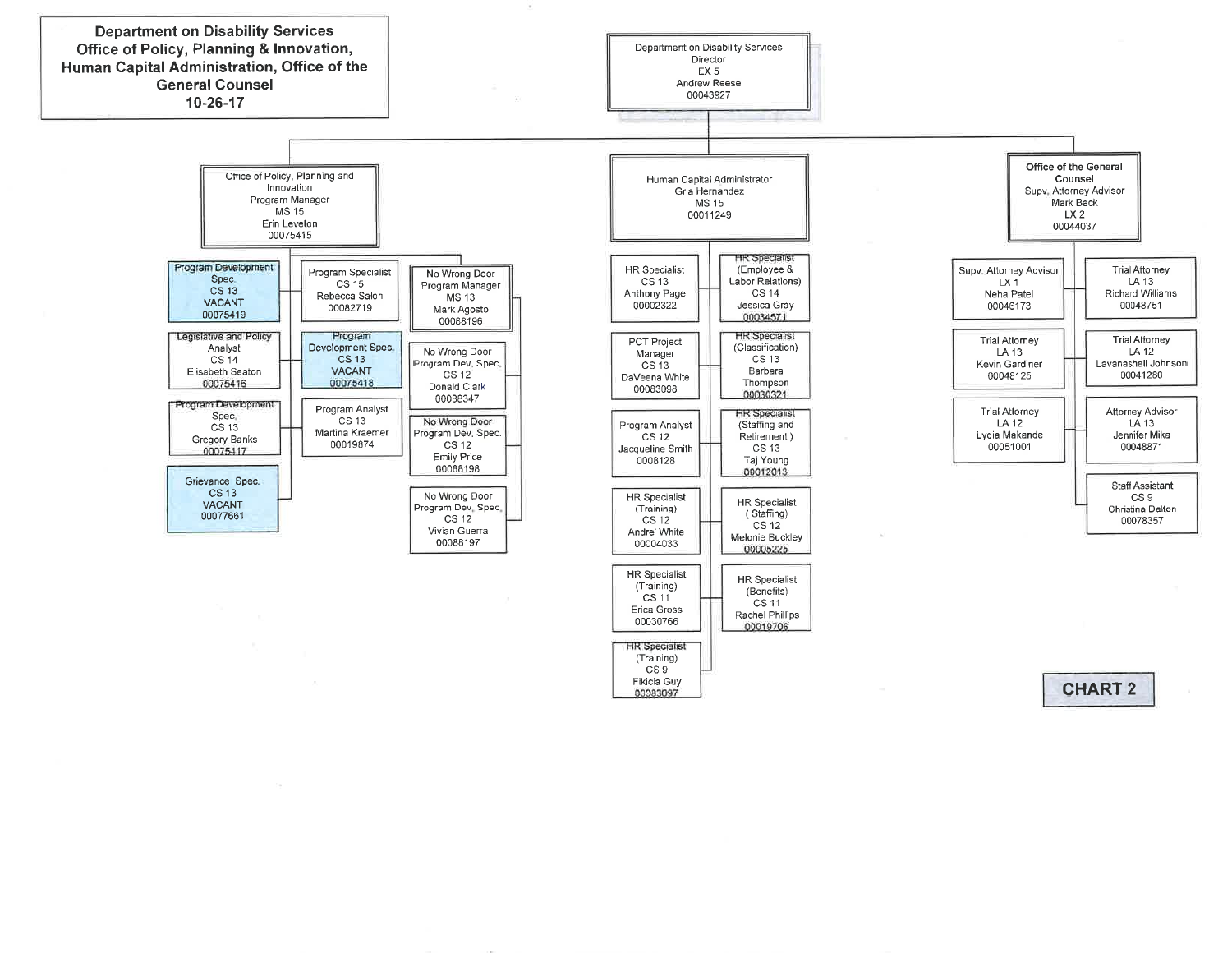

(Trainìng)CS<sub>9</sub> Fikicia Guy00083097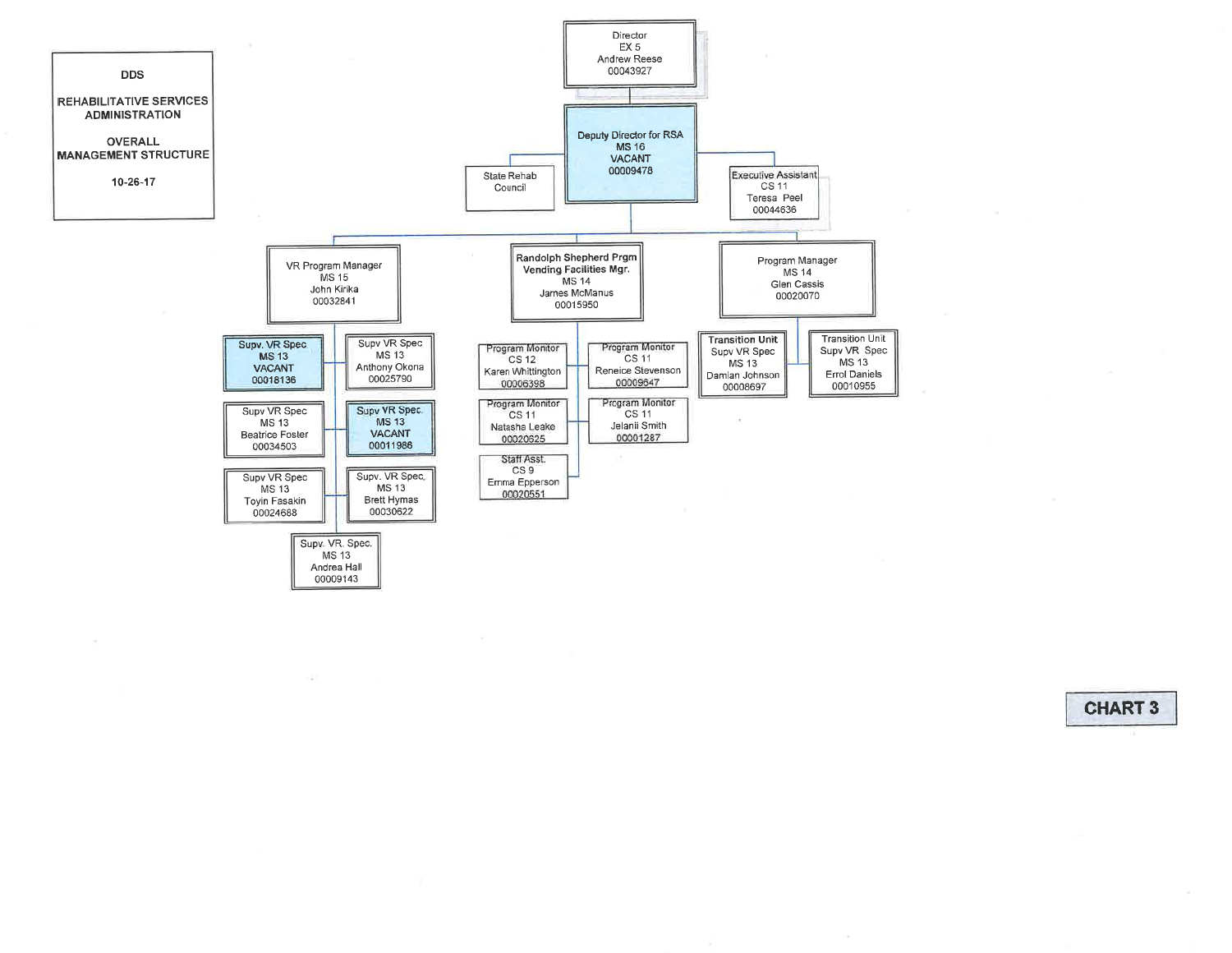

 $\overline{\mathcal{C}}$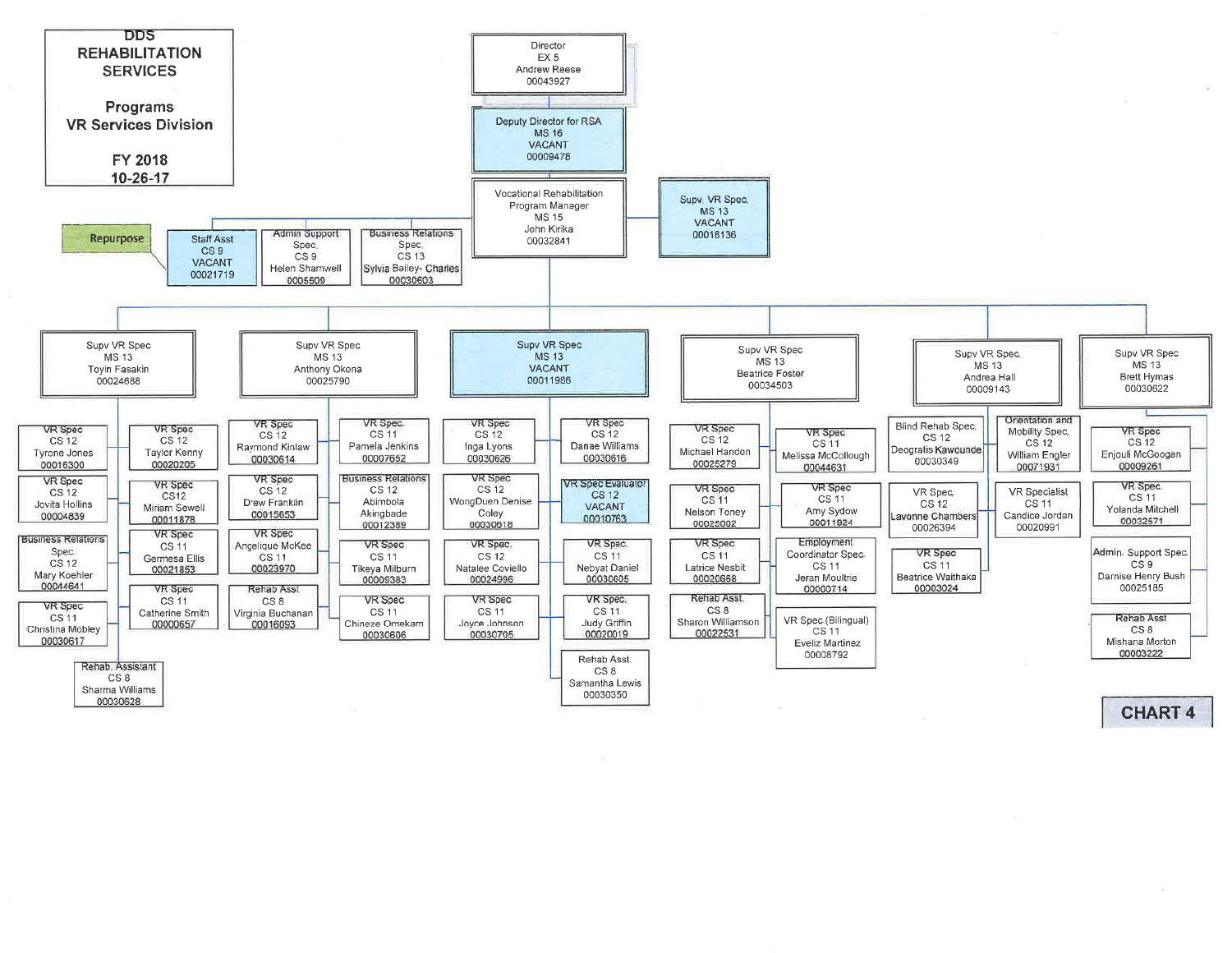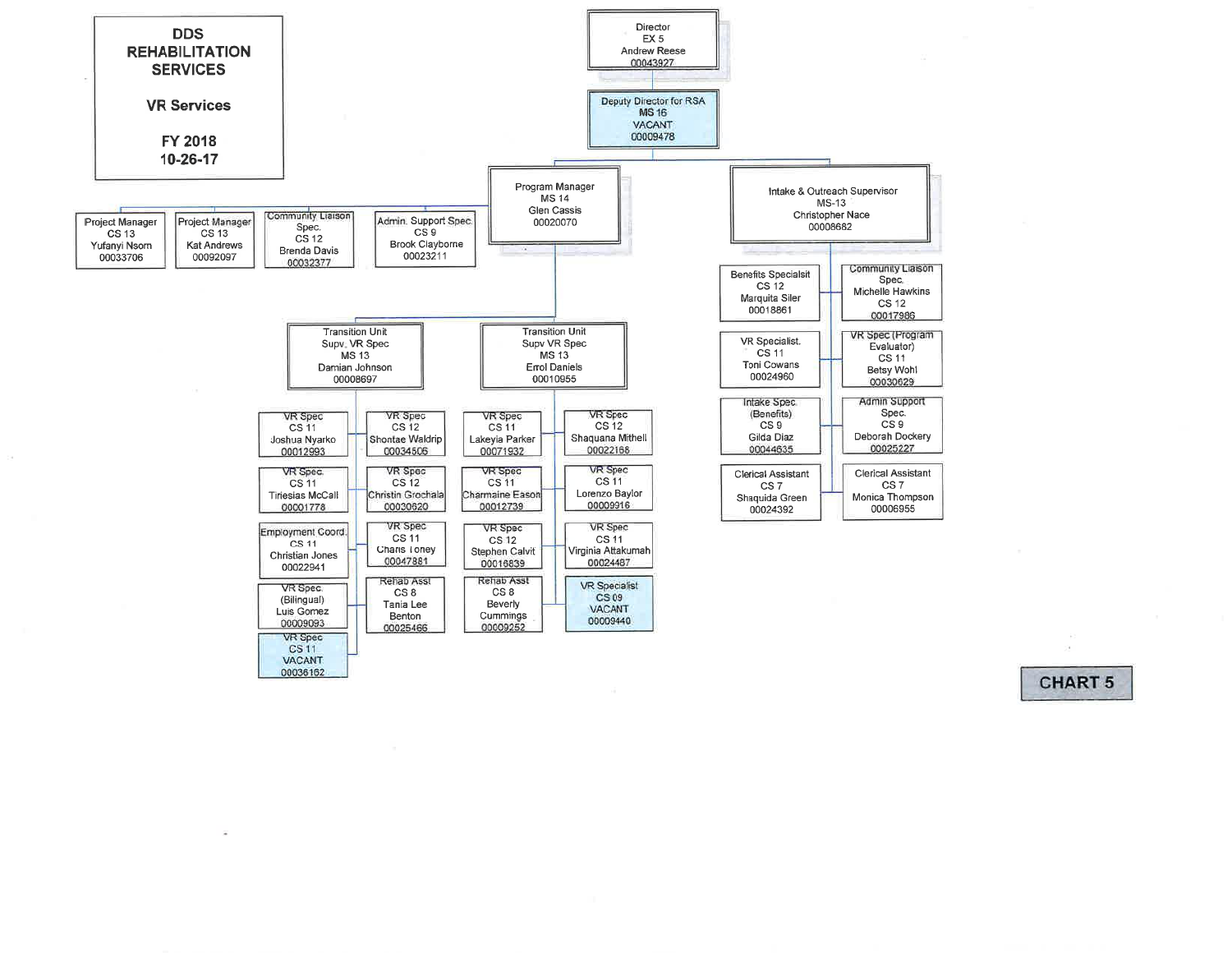

- 60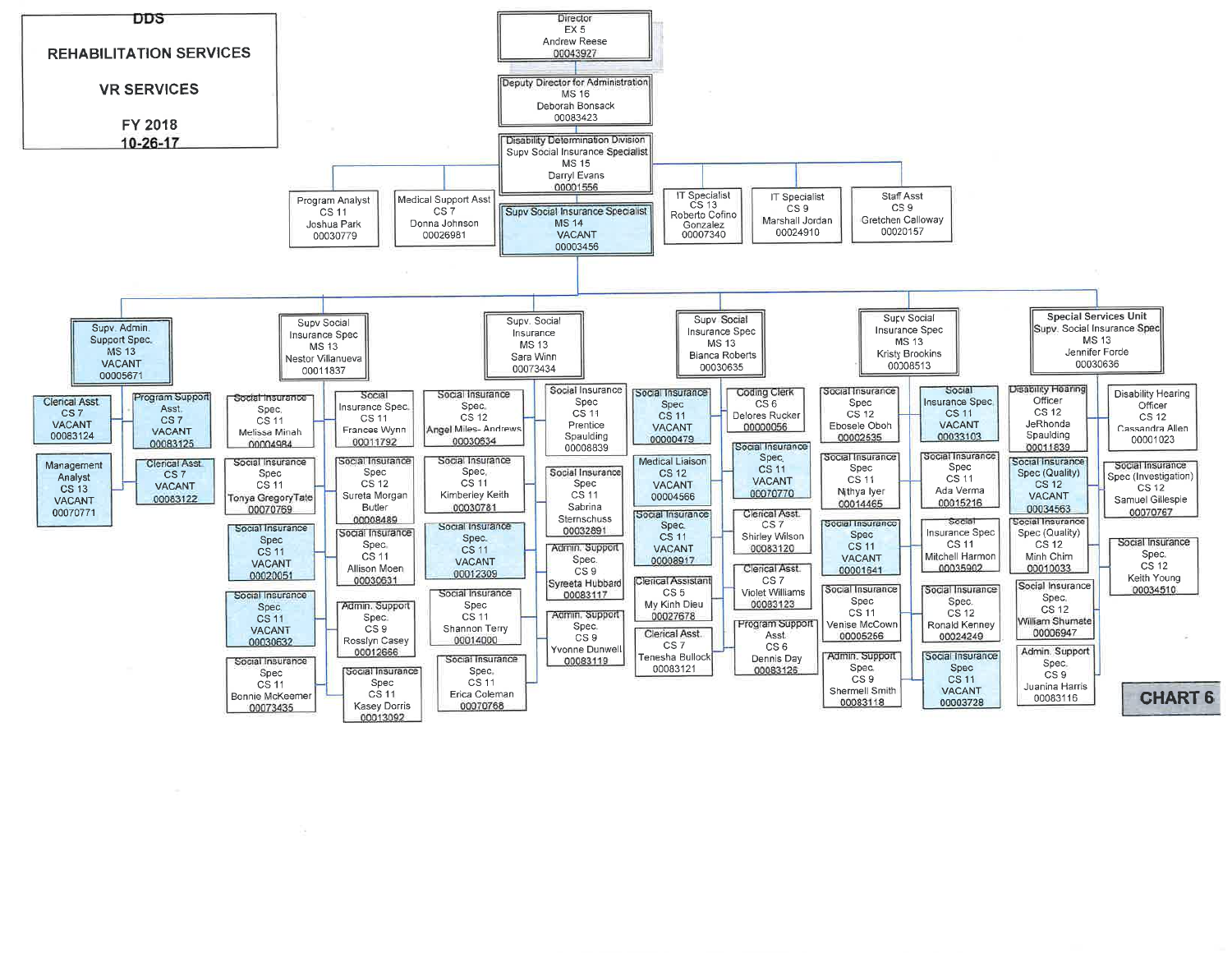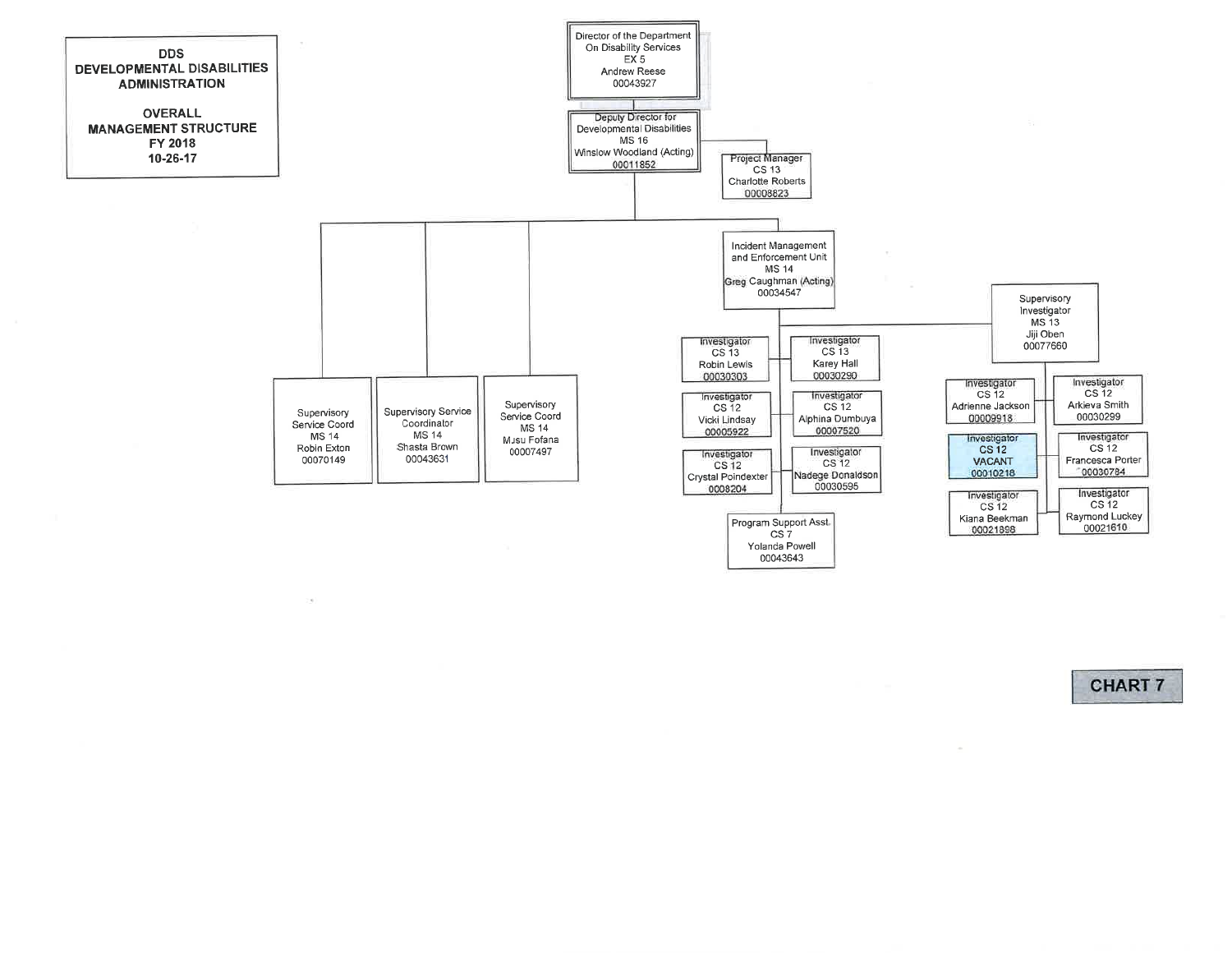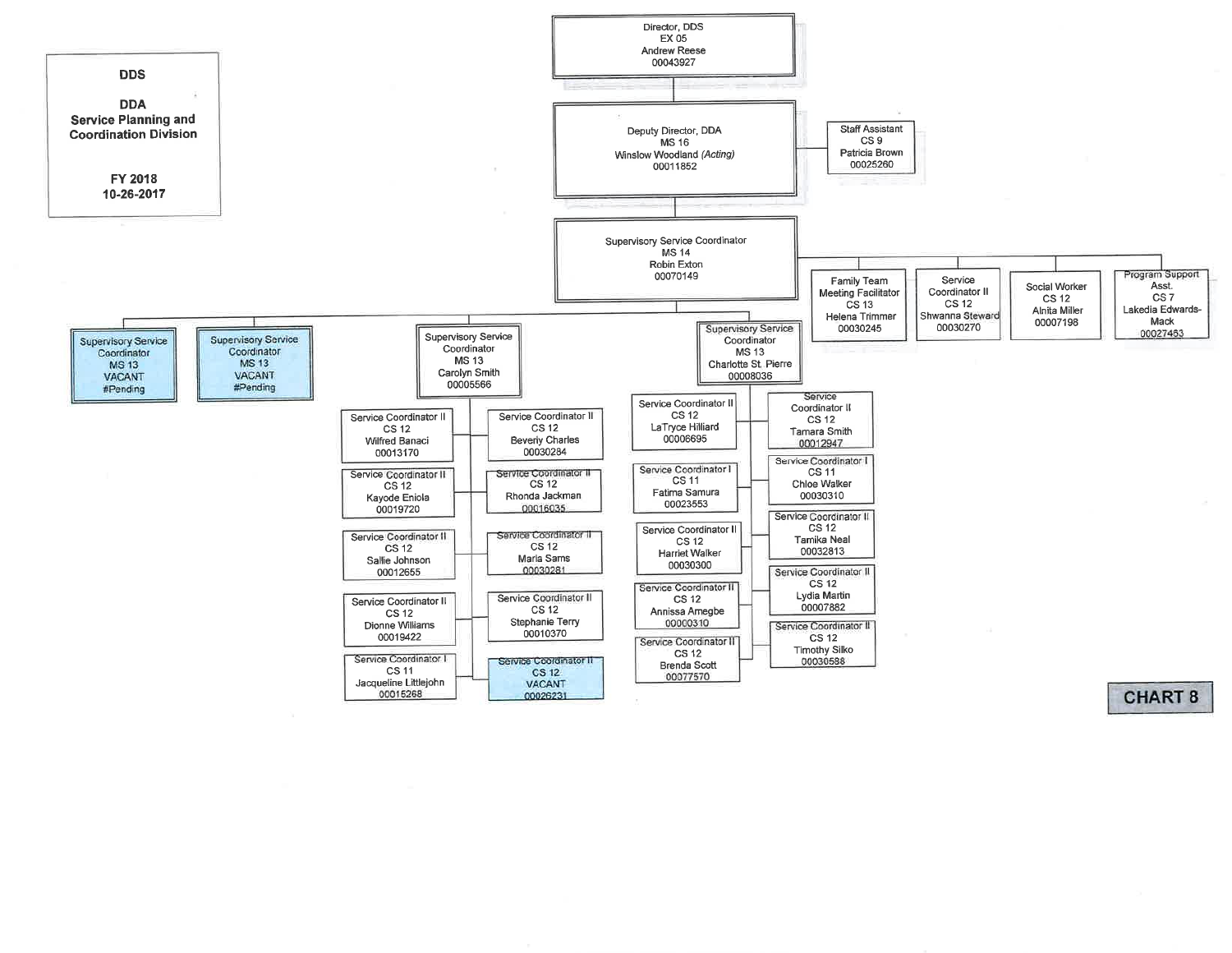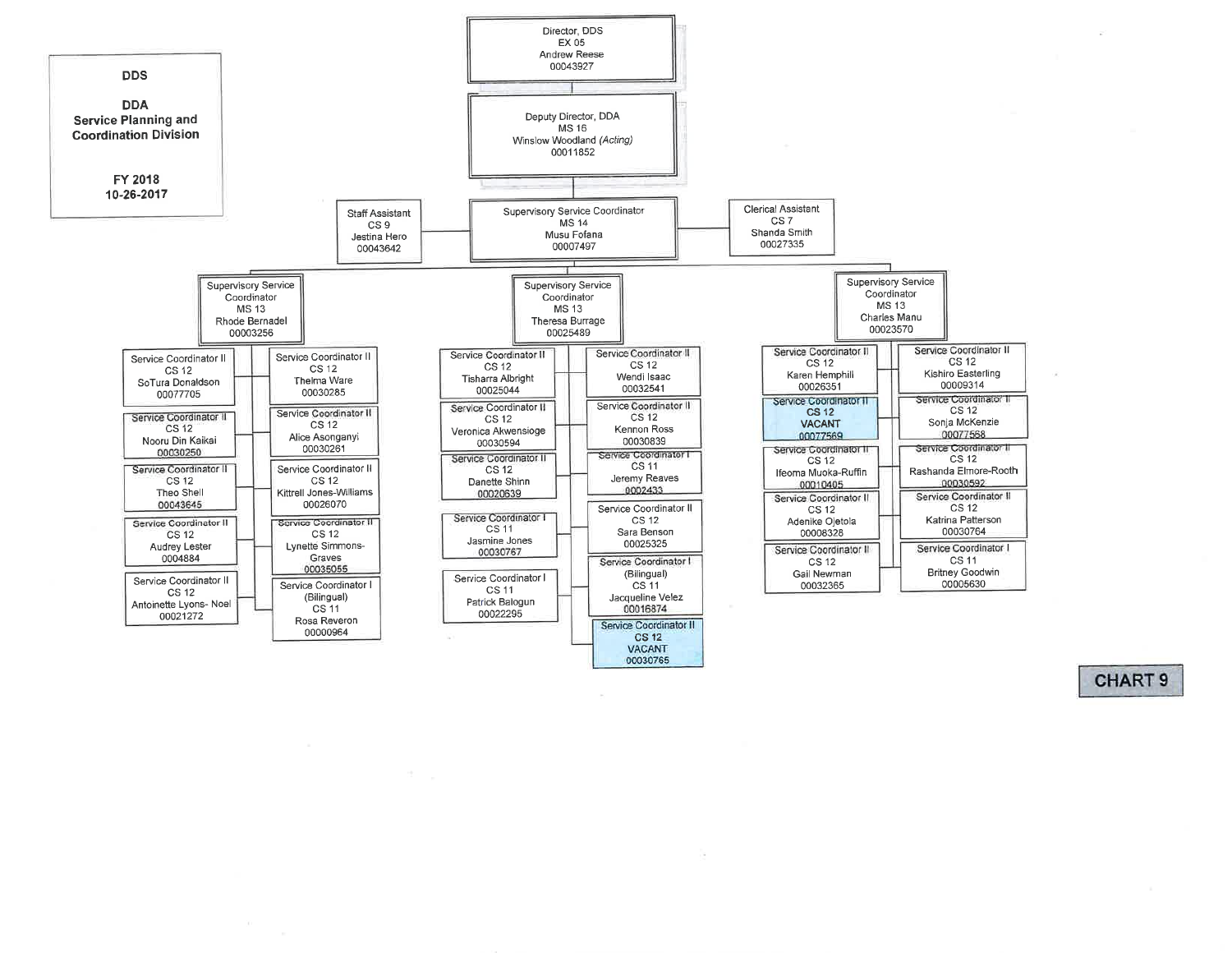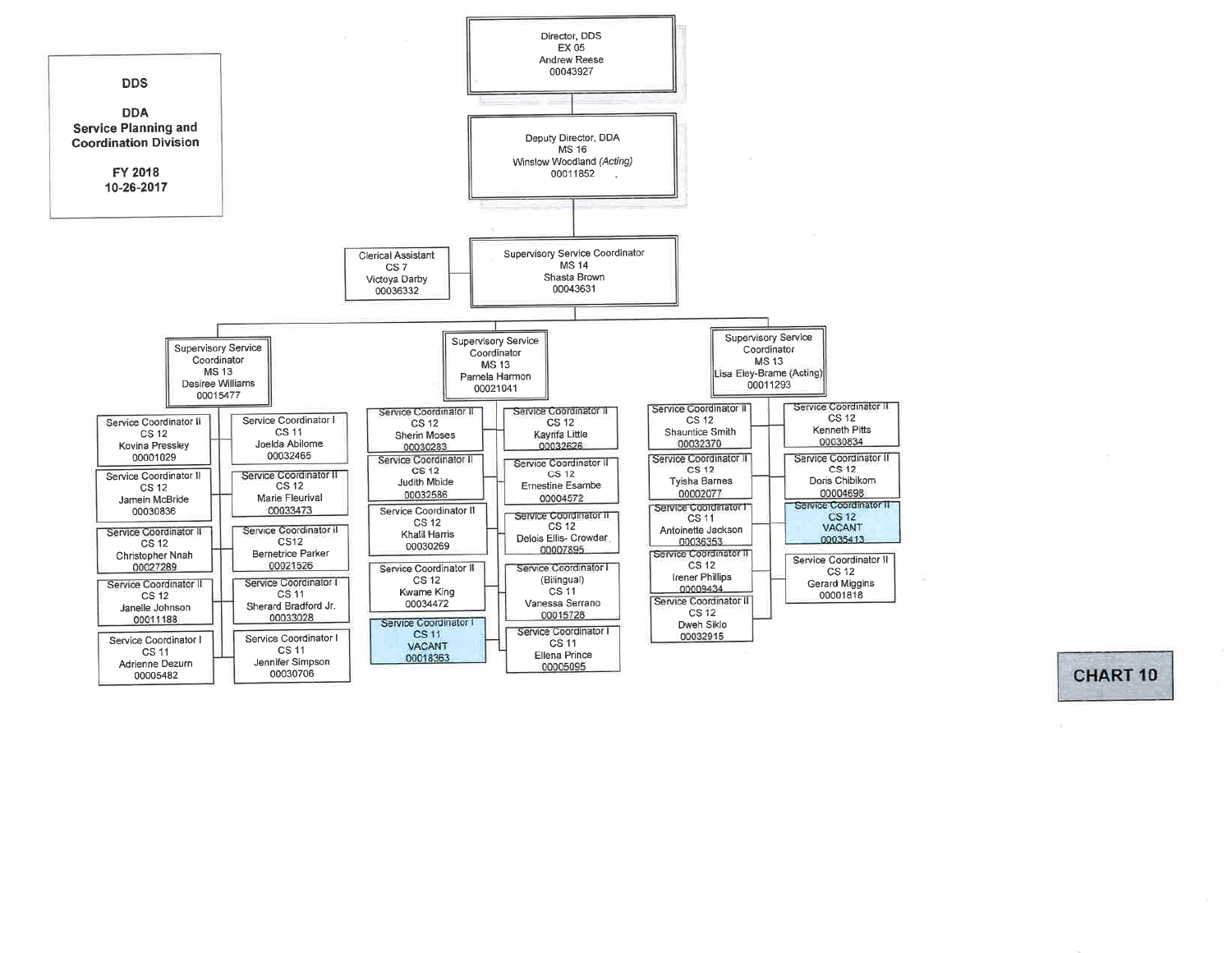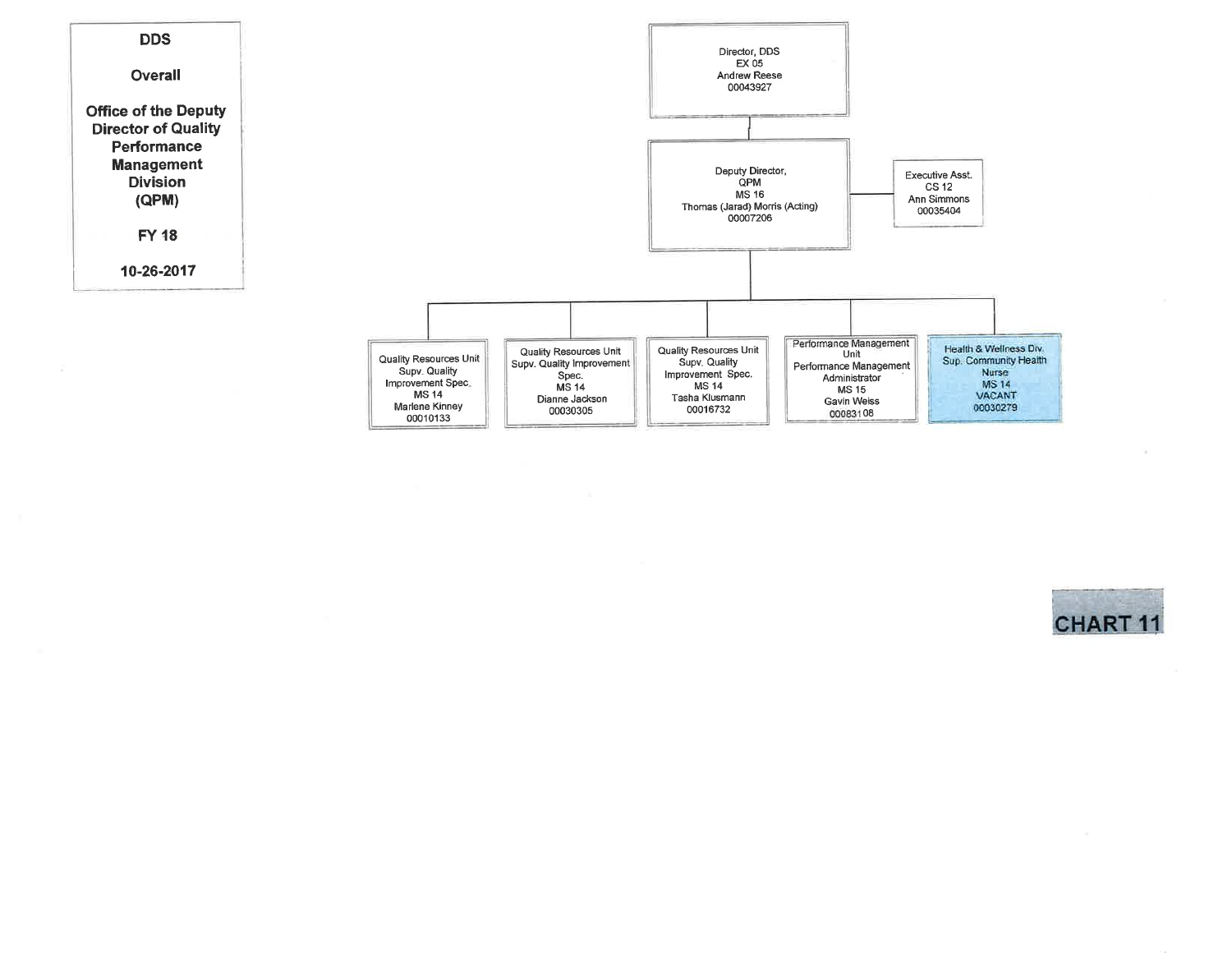

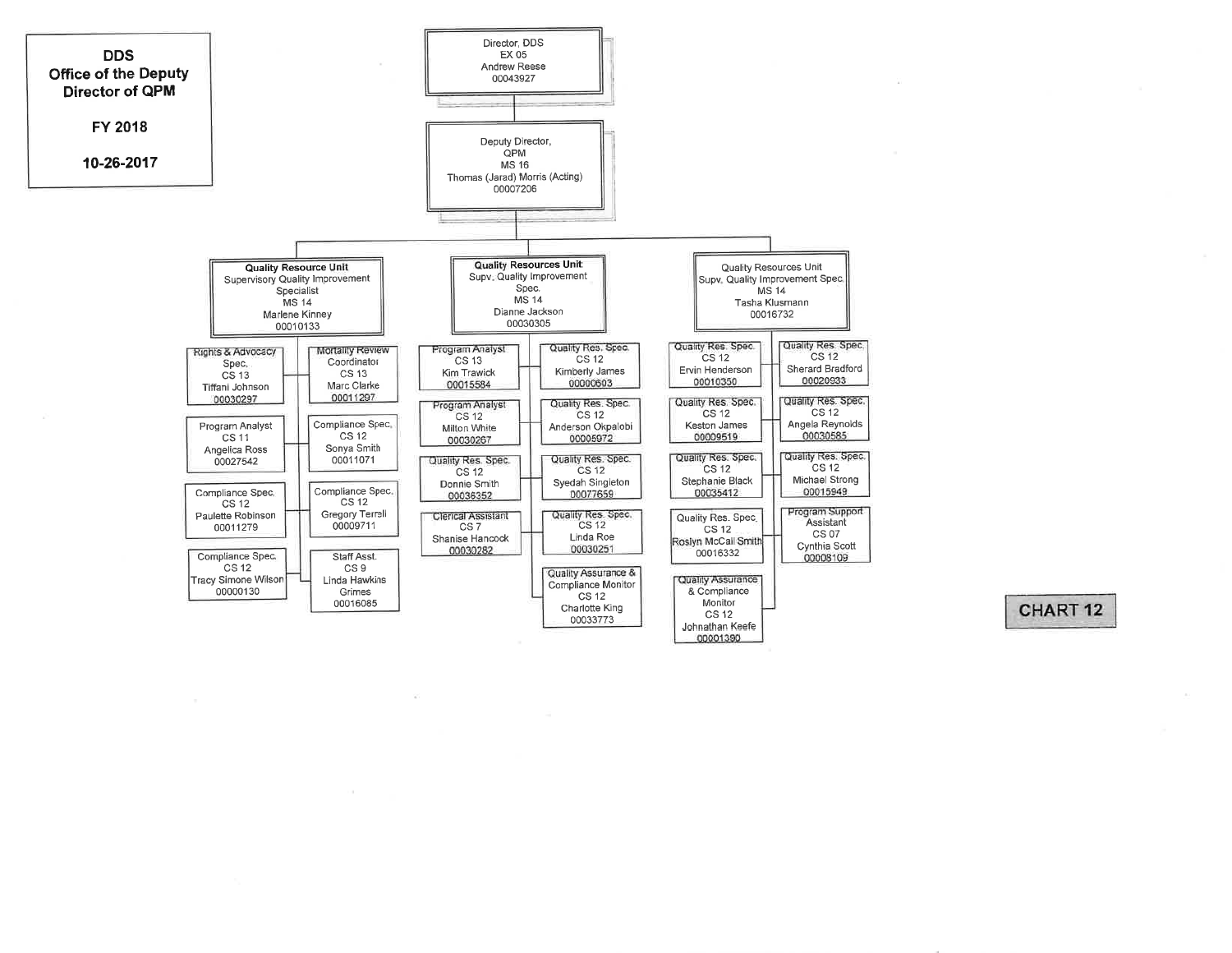

## CHART<sub>12</sub>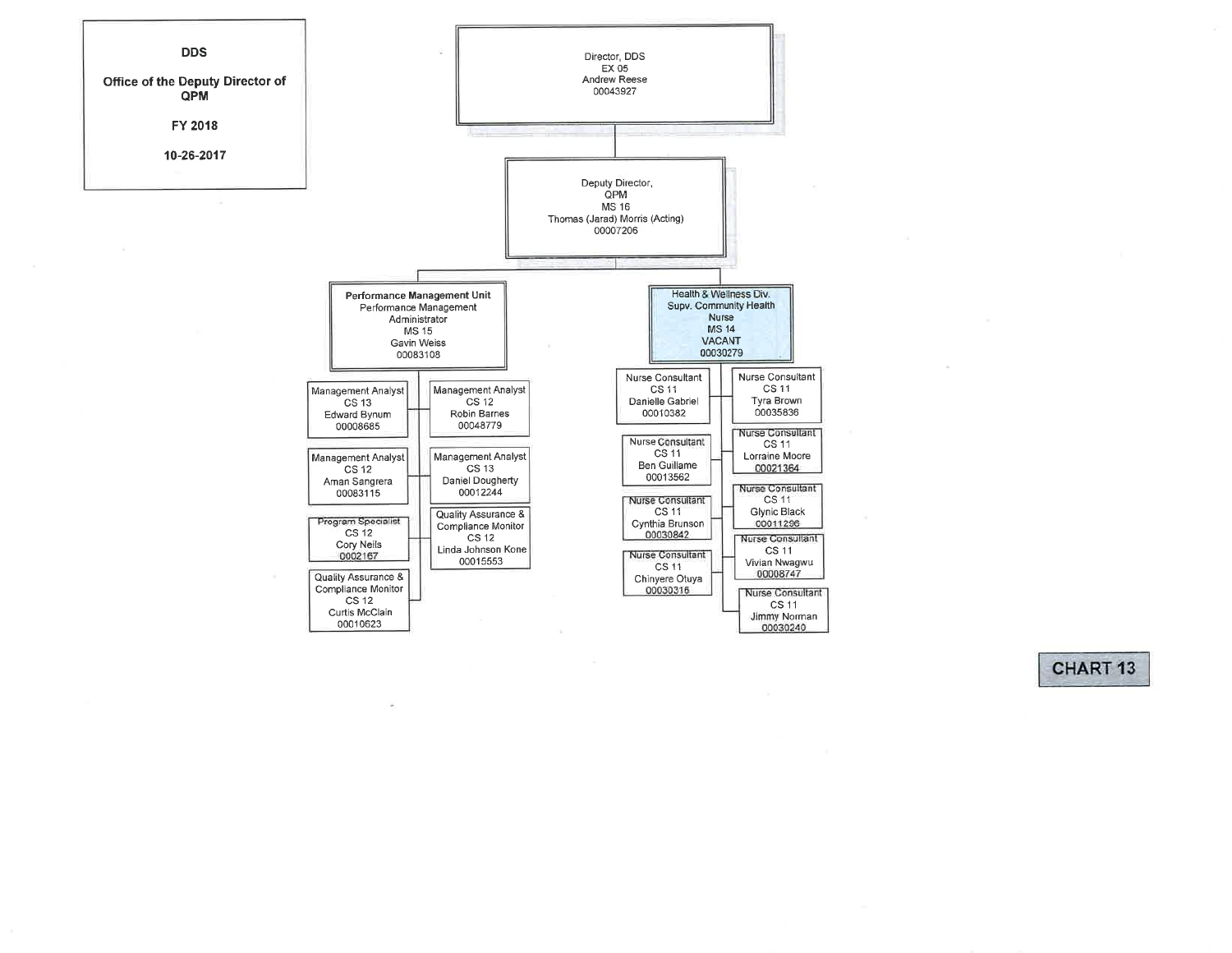

CHART<sub>13</sub>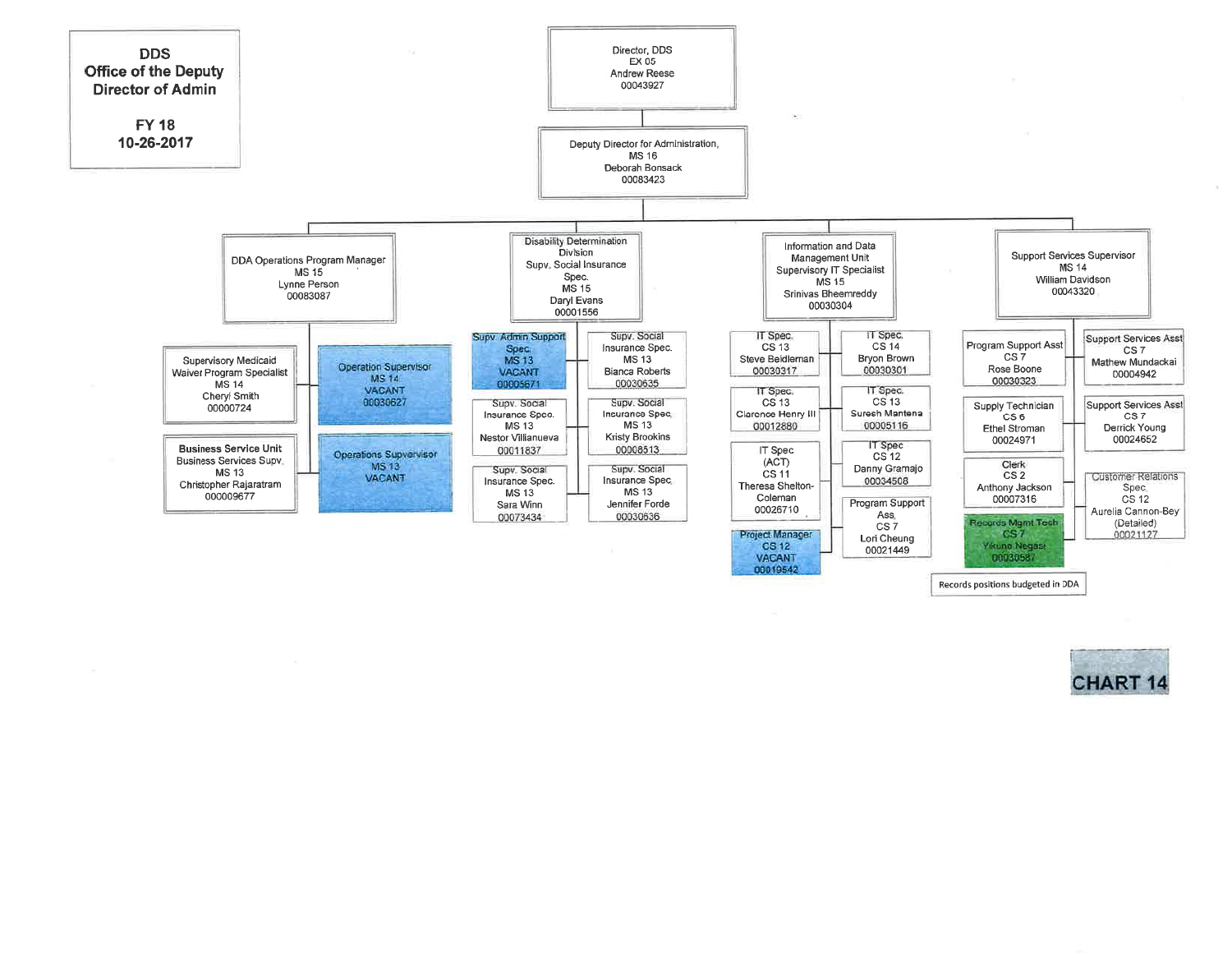